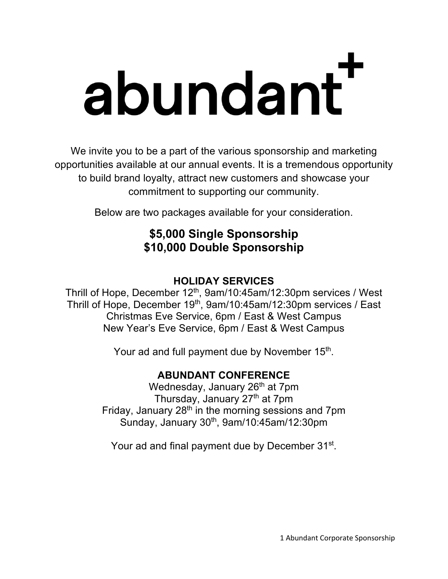# abundant

We invite you to be a part of the various sponsorship and marketing opportunities available at our annual events. It is a tremendous opportunity to build brand loyalty, attract new customers and showcase your commitment to supporting our community.

Below are two packages available for your consideration.

## **\$5,000 Single Sponsorship \$10,000 Double Sponsorship**

### **HOLIDAY SERVICES**

Thrill of Hope, December 12<sup>th</sup>, 9am/10:45am/12:30pm services / West Thrill of Hope, December 19th, 9am/10:45am/12:30pm services / East Christmas Eve Service, 6pm / East & West Campus New Year's Eve Service, 6pm / East & West Campus

Your ad and full payment due by November 15<sup>th</sup>.

### **ABUNDANT CONFERENCE**

Wednesday, January 26<sup>th</sup> at 7pm Thursday, January 27<sup>th</sup> at 7pm Friday, January  $28<sup>th</sup>$  in the morning sessions and 7pm Sunday, January  $30<sup>th</sup>$ , 9am/10:45am/12:30pm

Your ad and final payment due by December 31<sup>st</sup>.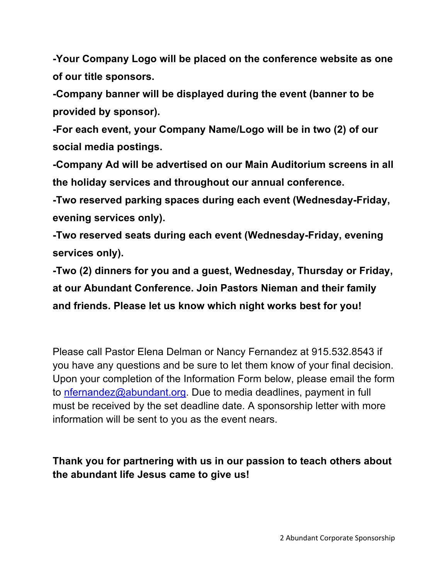**-Your Company Logo will be placed on the conference website as one of our title sponsors.**

**-Company banner will be displayed during the event (banner to be provided by sponsor).**

**-For each event, your Company Name/Logo will be in two (2) of our social media postings.**

**-Company Ad will be advertised on our Main Auditorium screens in all the holiday services and throughout our annual conference.**

**-Two reserved parking spaces during each event (Wednesday-Friday, evening services only).**

**-Two reserved seats during each event (Wednesday-Friday, evening services only).**

**-Two (2) dinners for you and a guest, Wednesday, Thursday or Friday, at our Abundant Conference. Join Pastors Nieman and their family and friends. Please let us know which night works best for you!**

Please call Pastor Elena Delman or Nancy Fernandez at 915.532.8543 if you have any questions and be sure to let them know of your final decision. Upon your completion of the Information Form below, please email the form to nfernandez@abundant.org. Due to media deadlines, payment in full must be received by the set deadline date. A sponsorship letter with more information will be sent to you as the event nears.

**Thank you for partnering with us in our passion to teach others about the abundant life Jesus came to give us!**